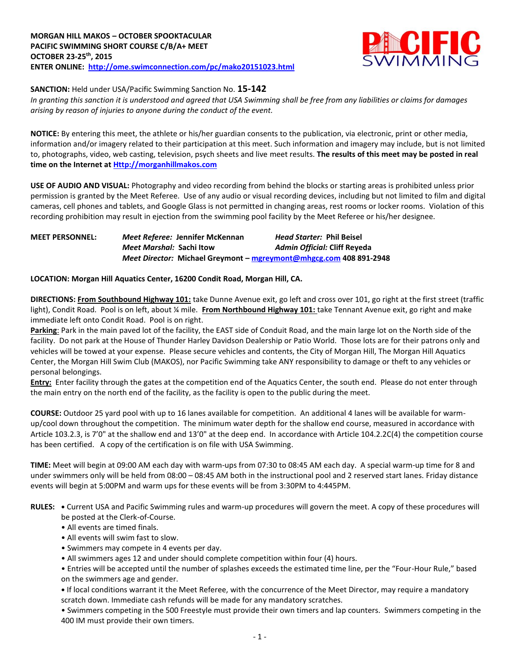

**SANCTION:** Held under USA/Pacific Swimming Sanction No. **15-142**

*In granting this sanction it is understood and agreed that USA Swimming shall be free from any liabilities or claims for damages arising by reason of injuries to anyone during the conduct of the event.*

**NOTICE:** By entering this meet, the athlete or his/her guardian consents to the publication, via electronic, print or other media, information and/or imagery related to their participation at this meet. Such information and imagery may include, but is not limited to, photographs, video, web casting, television, psych sheets and live meet results. **The results of this meet may be posted in real time on the Internet a[t Http://morganhillmakos.com](http://morganhillmakos.com/)**

**USE OF AUDIO AND VISUAL:** Photography and video recording from behind the blocks or starting areas is prohibited unless prior permission is granted by the Meet Referee. Use of any audio or visual recording devices, including but not limited to film and digital cameras, cell phones and tablets, and Google Glass is not permitted in changing areas, rest rooms or locker rooms. Violation of this recording prohibition may result in ejection from the swimming pool facility by the Meet Referee or his/her designee.

| <b>MEET PERSONNEL:</b> |                          | Meet Referee: Jennifer McKennan | <b>Head Starter: Phil Beisel</b>                                   |
|------------------------|--------------------------|---------------------------------|--------------------------------------------------------------------|
|                        | Meet Marshal: Sachi Itow |                                 | Admin Official: Cliff Reyeda                                       |
|                        |                          |                                 | Meet Director: Michael Greymont – mgreymont@mhgcg.com 408 891-2948 |

## **LOCATION: Morgan Hill Aquatics Center, 16200 Condit Road, Morgan Hill, CA.**

**DIRECTIONS: From Southbound Highway 101:** take Dunne Avenue exit, go left and cross over 101, go right at the first street (traffic light), Condit Road. Pool is on left, about ¼ mile. **From Northbound Highway 101:** take Tennant Avenue exit, go right and make immediate left onto Condit Road. Pool is on right.

**Parking**: Park in the main paved lot of the facility, the EAST side of Conduit Road, and the main large lot on the North side of the facility. Do not park at the House of Thunder Harley Davidson Dealership or Patio World. Those lots are for their patrons only and vehicles will be towed at your expense. Please secure vehicles and contents, the City of Morgan Hill, The Morgan Hill Aquatics Center, the Morgan Hill Swim Club (MAKOS), nor Pacific Swimming take ANY responsibility to damage or theft to any vehicles or personal belongings.

**Entry:** Enter facility through the gates at the competition end of the Aquatics Center, the south end. Please do not enter through the main entry on the north end of the facility, as the facility is open to the public during the meet.

**COURSE:** Outdoor 25 yard pool with up to 16 lanes available for competition. An additional 4 lanes will be available for warmup/cool down throughout the competition. The minimum water depth for the shallow end course, measured in accordance with Article 103.2.3, is 7'0" at the shallow end and 13'0" at the deep end. In accordance with Article 104.2.2C(4) the competition course has been certified. A copy of the certification is on file with USA Swimming.

**TIME:** Meet will begin at 09:00 AM each day with warm-ups from 07:30 to 08:45 AM each day. A special warm-up time for 8 and under swimmers only will be held from 08:00 – 08:45 AM both in the instructional pool and 2 reserved start lanes. Friday distance events will begin at 5:00PM and warm ups for these events will be from 3:30PM to 4:445PM.

**RULES: •** Current USA and Pacific Swimming rules and warm-up procedures will govern the meet. A copy of these procedures will be posted at the Clerk-of-Course.

- All events are timed finals.
- All events will swim fast to slow.
- Swimmers may compete in 4 events per day.
- All swimmers ages 12 and under should complete competition within four (4) hours.

• Entries will be accepted until the number of splashes exceeds the estimated time line, per the "Four-Hour Rule," based on the swimmers age and gender.

**•** If local conditions warrant it the Meet Referee, with the concurrence of the Meet Director, may require a mandatory scratch down. Immediate cash refunds will be made for any mandatory scratches.

• Swimmers competing in the 500 Freestyle must provide their own timers and lap counters. Swimmers competing in the 400 IM must provide their own timers.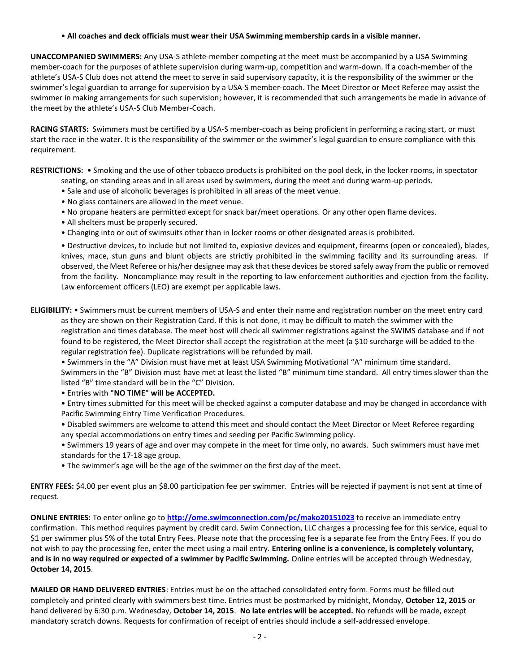• **All coaches and deck officials must wear their USA Swimming membership cards in a visible manner.** 

**UNACCOMPANIED SWIMMERS:** Any USA-S athlete-member competing at the meet must be accompanied by a USA Swimming member-coach for the purposes of athlete supervision during warm-up, competition and warm-down. If a coach-member of the athlete's USA-S Club does not attend the meet to serve in said supervisory capacity, it is the responsibility of the swimmer or the swimmer's legal guardian to arrange for supervision by a USA-S member-coach. The Meet Director or Meet Referee may assist the swimmer in making arrangements for such supervision; however, it is recommended that such arrangements be made in advance of the meet by the athlete's USA-S Club Member-Coach.

**RACING STARTS:** Swimmers must be certified by a USA-S member-coach as being proficient in performing a racing start, or must start the race in the water. It is the responsibility of the swimmer or the swimmer's legal guardian to ensure compliance with this requirement.

**RESTRICTIONS:** • Smoking and the use of other tobacco products is prohibited on the pool deck, in the locker rooms, in spectator

- seating, on standing areas and in all areas used by swimmers, during the meet and during warm-up periods.
- Sale and use of alcoholic beverages is prohibited in all areas of the meet venue.
- No glass containers are allowed in the meet venue.
- No propane heaters are permitted except for snack bar/meet operations. Or any other open flame devices.
- All shelters must be properly secured.
- Changing into or out of swimsuits other than in locker rooms or other designated areas is prohibited.

• Destructive devices, to include but not limited to, explosive devices and equipment, firearms (open or concealed), blades, knives, mace, stun guns and blunt objects are strictly prohibited in the swimming facility and its surrounding areas. If observed, the Meet Referee or his/her designee may ask that these devices be stored safely away from the public or removed from the facility. Noncompliance may result in the reporting to law enforcement authorities and ejection from the facility. Law enforcement officers (LEO) are exempt per applicable laws.

**ELIGIBILITY:** • Swimmers must be current members of USA-S and enter their name and registration number on the meet entry card as they are shown on their Registration Card. If this is not done, it may be difficult to match the swimmer with the registration and times database. The meet host will check all swimmer registrations against the SWIMS database and if not found to be registered, the Meet Director shall accept the registration at the meet (a \$10 surcharge will be added to the regular registration fee). Duplicate registrations will be refunded by mail.

• Swimmers in the "A" Division must have met at least USA Swimming Motivational "A" minimum time standard.

Swimmers in the "B" Division must have met at least the listed "B" minimum time standard. All entry times slower than the listed "B" time standard will be in the "C" Division.

• Entries with **"NO TIME" will be ACCEPTED.**

• Entry times submitted for this meet will be checked against a computer database and may be changed in accordance with Pacific Swimming Entry Time Verification Procedures.

• Disabled swimmers are welcome to attend this meet and should contact the Meet Director or Meet Referee regarding any special accommodations on entry times and seeding per Pacific Swimming policy.

• Swimmers 19 years of age and over may compete in the meet for time only, no awards. Such swimmers must have met standards for the 17-18 age group.

• The swimmer's age will be the age of the swimmer on the first day of the meet.

**ENTRY FEES:** \$4.00 per event plus an \$8.00 participation fee per swimmer. Entries will be rejected if payment is not sent at time of request.

**ONLINE ENTRIES:** To enter online go to **<http://ome.swimconnection.com/pc/mako20151023>** to receive an immediate entry confirmation. This method requires payment by credit card. Swim Connection, LLC charges a processing fee for this service, equal to \$1 per swimmer plus 5% of the total Entry Fees. Please note that the processing fee is a separate fee from the Entry Fees. If you do not wish to pay the processing fee, enter the meet using a mail entry. **Entering online is a convenience, is completely voluntary, and is in no way required or expected of a swimmer by Pacific Swimming.** Online entries will be accepted through Wednesday, **October 14, 2015**.

**MAILED OR HAND DELIVERED ENTRIES**: Entries must be on the attached consolidated entry form. Forms must be filled out completely and printed clearly with swimmers best time. Entries must be postmarked by midnight, Monday, **October 12, 2015** or hand delivered by 6:30 p.m. Wednesday, **October 14, 2015**. **No late entries will be accepted.** No refunds will be made, except mandatory scratch downs. Requests for confirmation of receipt of entries should include a self-addressed envelope.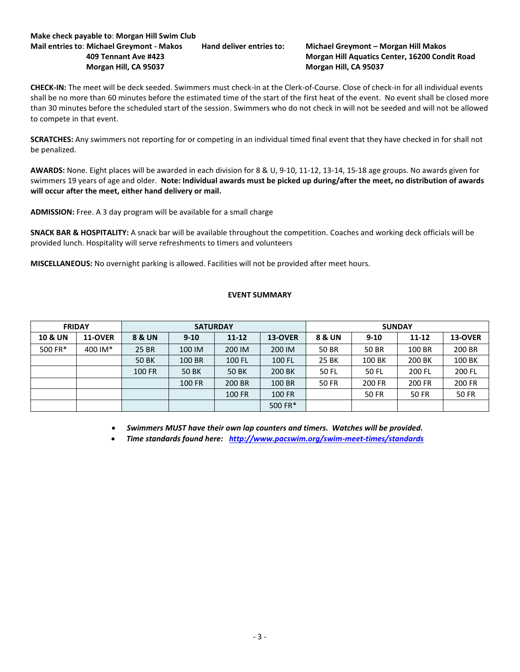## **Make check payable to**: **Morgan Hill Swim Club Mail entries to**: **Michael Greymont - Makos Hand deliver entries to: Michael Greymont – Morgan Hill Makos 409 Tennant Ave #423 Morgan Hill Aquatics Center, 16200 Condit Road Morgan Hill, CA 95037 Morgan Hill, CA 95037**

**CHECK-IN:** The meet will be deck seeded. Swimmers must check-in at the Clerk-of-Course. Close of check-in for all individual events shall be no more than 60 minutes before the estimated time of the start of the first heat of the event. No event shall be closed more than 30 minutes before the scheduled start of the session. Swimmers who do not check in will not be seeded and will not be allowed to compete in that event.

**SCRATCHES:** Any swimmers not reporting for or competing in an individual timed final event that they have checked in for shall not be penalized.

**AWARDS:** None. Eight places will be awarded in each division for 8 & U, 9-10, 11-12, 13-14, 15-18 age groups. No awards given for swimmers 19 years of age and older. **Note: Individual awards must be picked up during/after the meet, no distribution of awards will occur after the meet, either hand delivery or mail.**

**ADMISSION:** Free. A 3 day program will be available for a small charge

**SNACK BAR & HOSPITALITY:** A snack bar will be available throughout the competition. Coaches and working deck officials will be provided lunch. Hospitality will serve refreshments to timers and volunteers

**MISCELLANEOUS:** No overnight parking is allowed. Facilities will not be provided after meet hours.

## **EVENT SUMMARY**

|                    | <b>FRIDAY</b>  |              | <b>SATURDAY</b> |           |                | <b>SUNDAY</b> |          |           |              |  |
|--------------------|----------------|--------------|-----------------|-----------|----------------|---------------|----------|-----------|--------------|--|
| <b>10 &amp; UN</b> | <b>11-OVER</b> | 8 & UN       | $9 - 10$        | $11 - 12$ | <b>13-OVER</b> | 8 & UN        | $9 - 10$ | $11 - 12$ | 13-OVER      |  |
| 500 FR*            | 400 IM*        | 25 BR        | 100 IM          | 200 IM    | 200 IM         | 50 BR         | 50 BR    | 100 BR    | 200 BR       |  |
|                    |                | <b>50 BK</b> | 100 BR          | 100 FL    | 100 FL         | 25 BK         | 100 BK   | 200 BK    | 100 BK       |  |
|                    |                | 100 FR       | 50 BK           | 50 BK     | 200 BK         | 50 FL         | 50 FL    | 200 FL    | 200 FL       |  |
|                    |                |              | 100 FR          | 200 BR    | 100 BR         | 50 FR         | 200 FR   | 200 FR    | 200 FR       |  |
|                    |                |              |                 | 100 FR    | 100 FR         |               | 50 FR    | 50 FR     | <b>50 FR</b> |  |
|                    |                |              |                 |           | 500 FR*        |               |          |           |              |  |

*Swimmers MUST have their own lap counters and timers. Watches will be provided.*

*Time standards found here: <http://www.pacswim.org/swim-meet-times/standards>*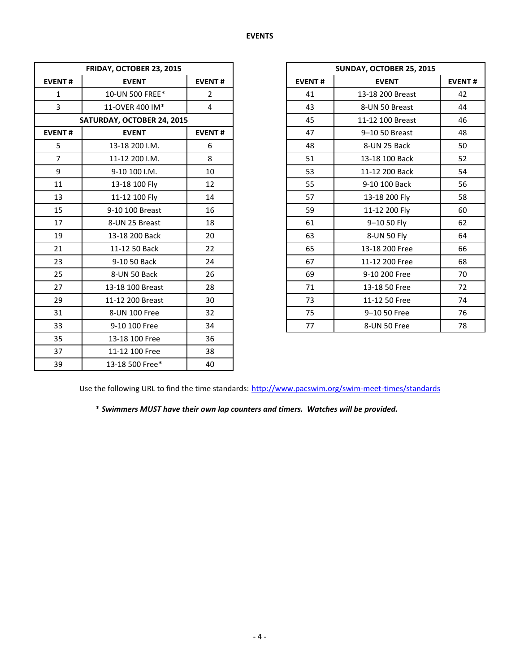|                | FRIDAY, OCTOBER 23, 2015   |                |               | SUNDAY, OCTOBER 25, 2015 |             |  |  |  |
|----------------|----------------------------|----------------|---------------|--------------------------|-------------|--|--|--|
| <b>EVENT#</b>  | <b>EVENT</b>               | <b>EVENT#</b>  | <b>EVENT#</b> | <b>EVENT</b>             | <b>EVEN</b> |  |  |  |
| $\mathbf{1}$   | 10-UN 500 FREE*            | $\overline{2}$ | 41            | 13-18 200 Breast         | 42          |  |  |  |
| 3              | 11-OVER 400 IM*            | $\overline{4}$ | 43            | 8-UN 50 Breast           | 44          |  |  |  |
|                | SATURDAY, OCTOBER 24, 2015 |                | 45            | 11-12 100 Breast         | 46          |  |  |  |
| <b>EVENT#</b>  | <b>EVENT</b>               | <b>EVENT#</b>  | 47            | 9-10 50 Breast           | 48          |  |  |  |
| 5              | 13-18 200 I.M.             | 6              | 48            | 8-UN 25 Back             | 50          |  |  |  |
| $\overline{7}$ | 11-12 200 I.M.             | 8              | 51            | 13-18 100 Back           | 52          |  |  |  |
| 9              | 9-10 100 I.M.              | 10             | 53            | 11-12 200 Back           | 54          |  |  |  |
| 11             | 13-18 100 Fly              | 12             | 55            | 9-10 100 Back            | 56          |  |  |  |
| 13             | 11-12 100 Fly              | 14             | 57            | 13-18 200 Fly            | 58          |  |  |  |
| 15             | 9-10 100 Breast            | 16             | 59            | 11-12 200 Fly            | 60          |  |  |  |
| 17             | 8-UN 25 Breast             | 18             | 61            | 9-10 50 Fly              | 62          |  |  |  |
| 19             | 13-18 200 Back             | 20             | 63            | 8-UN 50 Fly              | 64          |  |  |  |
| 21             | 11-12 50 Back              | 22             | 65            | 13-18 200 Free           | 66          |  |  |  |
| 23             | 9-10 50 Back               | 24             | 67            | 11-12 200 Free           | 68          |  |  |  |
| 25             | 8-UN 50 Back               | 26             | 69            | 9-10 200 Free            | 70          |  |  |  |
| 27             | 13-18 100 Breast           | 28             | 71            | 13-18 50 Free            | 72          |  |  |  |
| 29             | 11-12 200 Breast           | 30             | 73            | 11-12 50 Free            | 74          |  |  |  |
| 31             | 8-UN 100 Free              | 32             | 75            | 9-10 50 Free             | 76          |  |  |  |
| 33             | 9-10 100 Free              | 34             | 77            | 8-UN 50 Free             | 78          |  |  |  |
| 35             | 13-18 100 Free             | 36             |               |                          |             |  |  |  |
| 37             | 11-12 100 Free             | 38             |               |                          |             |  |  |  |
| 39             | 13-18 500 Free*            | 40             |               |                          |             |  |  |  |

| FRIDAY, OCTOBER 23, 2015   |                  |                |
|----------------------------|------------------|----------------|
| <b>EVENT#</b>              | <b>EVENT</b>     | <b>EVENT#</b>  |
| $\mathbf{1}$               | 10-UN 500 FREE*  | $\overline{2}$ |
| $\overline{3}$             | 11-OVER 400 IM*  | 4              |
| SATURDAY, OCTOBER 24, 2015 |                  |                |
| <b>EVENT#</b>              | <b>EVENT</b>     | <b>EVENT#</b>  |
| 5                          | 13-18 200 I.M.   | 6              |
| $\overline{7}$             | 11-12 200 I.M.   | 8              |
| 9                          | 9-10 100 I.M.    | 10             |
| 11                         | 13-18 100 Fly    | 12             |
| 13                         | 11-12 100 Fly    | 14             |
| 15                         | 9-10 100 Breast  | 16             |
| 17                         | 8-UN 25 Breast   | 18             |
| 19                         | 13-18 200 Back   | 20             |
| 21                         | 11-12 50 Back    | 22             |
| 23                         | 9-10 50 Back     | 24             |
| 25                         | 8-UN 50 Back     | 26             |
| 27                         | 13-18 100 Breast | 28             |
| 29                         | 11-12 200 Breast | 30             |
| 31                         | 8-UN 100 Free    | 32             |
| 33                         | 9-10 100 Free    | 34             |

Use the following URL to find the time standards: <http://www.pacswim.org/swim-meet-times/standards>

\* *Swimmers MUST have their own lap counters and timers. Watches will be provided.*